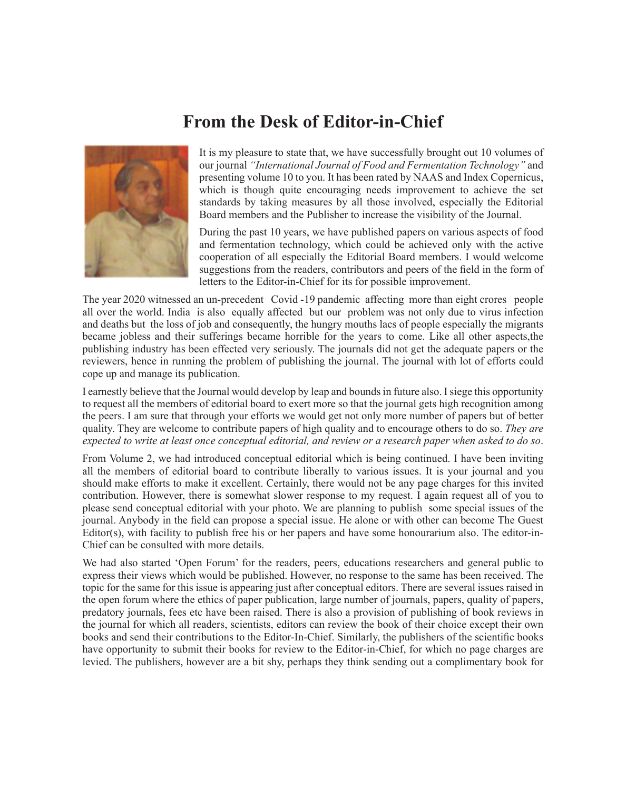## **From the Desk of Editor-in-Chief**



It is my pleasure to state that, we have successfully brought out 10 volumes of our journal *"International Journal of Food and Fermentation Technology"* and presenting volume 10 to you. It has been rated by NAAS and Index Copernicus, which is though quite encouraging needs improvement to achieve the set standards by taking measures by all those involved, especially the Editorial Board members and the Publisher to increase the visibility of the Journal.

During the past 10 years, we have published papers on various aspects of food and fermentation technology, which could be achieved only with the active cooperation of all especially the Editorial Board members. I would welcome suggestions from the readers, contributors and peers of the field in the form of letters to the Editor-in-Chief for its for possible improvement.

The year 2020 witnessed an un-precedent Covid -19 pandemic affecting more than eight crores people all over the world. India is also equally affected but our problem was not only due to virus infection and deaths but the loss of job and consequently, the hungry mouths lacs of people especially the migrants became jobless and their sufferings became horrible for the years to come. Like all other aspects,the publishing industry has been effected very seriously. The journals did not get the adequate papers or the reviewers, hence in running the problem of publishing the journal. The journal with lot of efforts could cope up and manage its publication.

I earnestly believe that the Journal would develop by leap and bounds in future also. I siege this opportunity to request all the members of editorial board to exert more so that the journal gets high recognition among the peers. I am sure that through your efforts we would get not only more number of papers but of better quality. They are welcome to contribute papers of high quality and to encourage others to do so. *They are expected to write at least once conceptual editorial, and review or a research paper when asked to do so*.

From Volume 2, we had introduced conceptual editorial which is being continued. I have been inviting all the members of editorial board to contribute liberally to various issues. It is your journal and you should make efforts to make it excellent. Certainly, there would not be any page charges for this invited contribution. However, there is somewhat slower response to my request. I again request all of you to please send conceptual editorial with your photo. We are planning to publish some special issues of the journal. Anybody in the field can propose a special issue. He alone or with other can become The Guest Editor(s), with facility to publish free his or her papers and have some honourarium also. The editor-in-Chief can be consulted with more details.

We had also started 'Open Forum' for the readers, peers, educations researchers and general public to express their views which would be published. However, no response to the same has been received. The topic for the same for this issue is appearing just after conceptual editors. There are several issues raised in the open forum where the ethics of paper publication, large number of journals, papers, quality of papers, predatory journals, fees etc have been raised. There is also a provision of publishing of book reviews in the journal for which all readers, scientists, editors can review the book of their choice except their own books and send their contributions to the Editor-In-Chief. Similarly, the publishers of the scientific books have opportunity to submit their books for review to the Editor-in-Chief, for which no page charges are levied. The publishers, however are a bit shy, perhaps they think sending out a complimentary book for